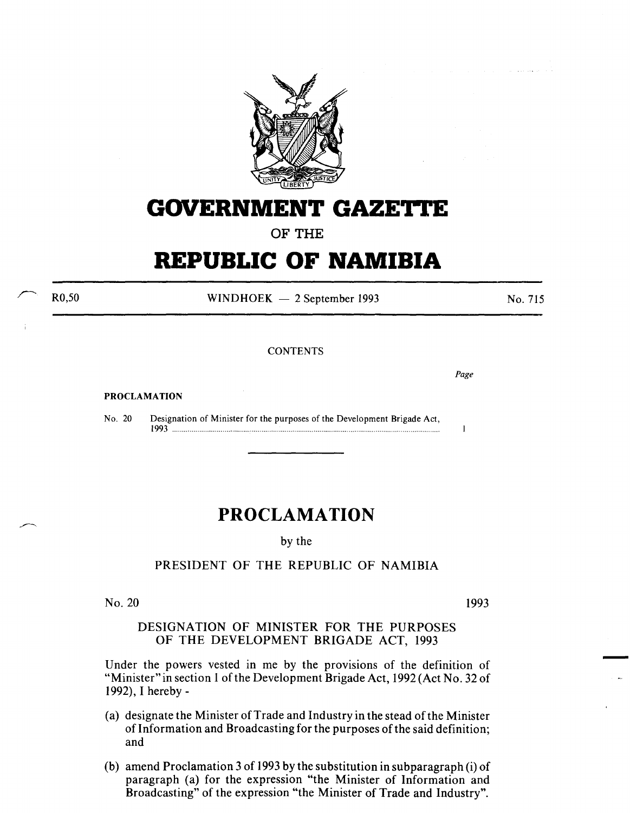

## **GOVERNMENT GAZET**

**OF THE** 

## **REPUBLIC OF NAMIBIA**

R0,50

 $WINDHOEK - 2 September 1993$ 

No. 715

**CONTENTS** 

*Page* 

 $\mathbf{I}$ 

PROCLAMATION

No. 20 Designation of Minister for the purposes of the Development Brigade Act, 1~3 .................................................. ······················································································

## **PROCLAMATION**

by the

## PRESIDENT OF THE REPUBLIC OF NAMIBIA

No. 20

1993

-

DESIGNATION OF MINISTER FOR THE PURPOSES OF THE DEVELOPMENT BRIGADE ACT, 1993

Under the powers vested in me by the provisions of the definition of "Minister" in section 1 of the Development Brigade Act, 1992 (Act No. 32 of 1992), I hereby-

- (a) designate the Minister of Trade and Industry in the stead of the Minister of Information and Broadcasting for the purposes of the said definition; and
- (b) amend Proclamation 3 of 1993 by the substitution in subparagraph (i) of paragraph (a) for the expression "the Minister of Information and Broadcasting" of the expression "the Minister of Trade and Industry".